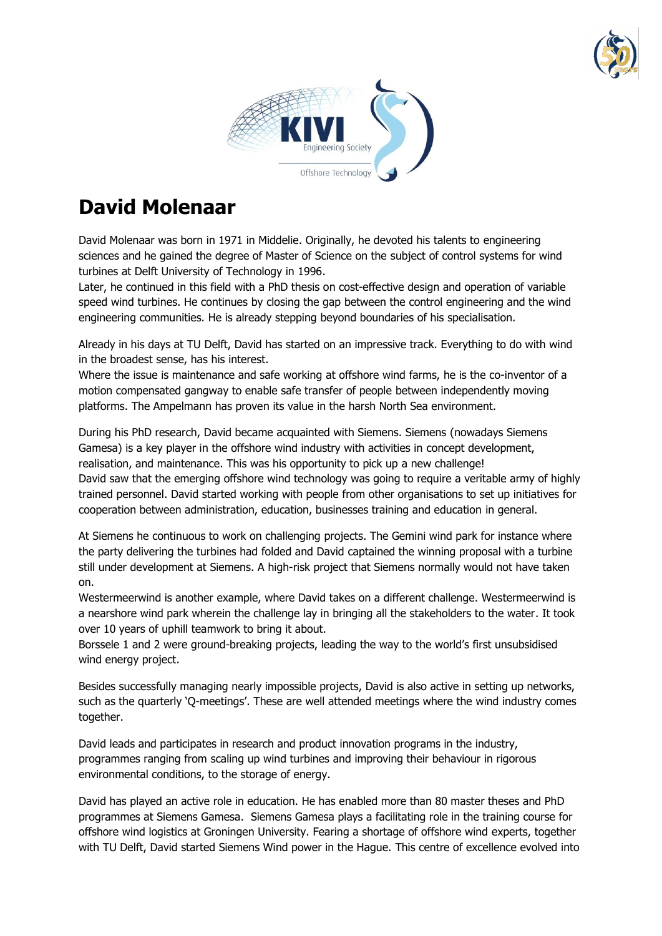



## **David Molenaar**

David Molenaar was born in 1971 in Middelie. Originally, he devoted his talents to engineering sciences and he gained the degree of Master of Science on the subject of control systems for wind turbines at Delft University of Technology in 1996.

Later, he continued in this field with a PhD thesis on cost-effective design and operation of variable speed wind turbines. He continues by closing the gap between the control engineering and the wind engineering communities. He is already stepping beyond boundaries of his specialisation.

Already in his days at TU Delft, David has started on an impressive track. Everything to do with wind in the broadest sense, has his interest.

Where the issue is maintenance and safe working at offshore wind farms, he is the co-inventor of a motion compensated gangway to enable safe transfer of people between independently moving platforms. The Ampelmann has proven its value in the harsh North Sea environment.

During his PhD research, David became acquainted with Siemens. Siemens (nowadays Siemens Gamesa) is a key player in the offshore wind industry with activities in concept development, realisation, and maintenance. This was his opportunity to pick up a new challenge! David saw that the emerging offshore wind technology was going to require a veritable army of highly trained personnel. David started working with people from other organisations to set up initiatives for cooperation between administration, education, businesses training and education in general.

At Siemens he continuous to work on challenging projects. The Gemini wind park for instance where the party delivering the turbines had folded and David captained the winning proposal with a turbine still under development at Siemens. A high-risk project that Siemens normally would not have taken on.

Westermeerwind is another example, where David takes on a different challenge. Westermeerwind is a nearshore wind park wherein the challenge lay in bringing all the stakeholders to the water. It took over 10 years of uphill teamwork to bring it about.

Borssele 1 and 2 were ground-breaking projects, leading the way to the world's first unsubsidised wind energy project.

Besides successfully managing nearly impossible projects, David is also active in setting up networks, such as the quarterly 'Q-meetings'. These are well attended meetings where the wind industry comes together.

David leads and participates in research and product innovation programs in the industry, programmes ranging from scaling up wind turbines and improving their behaviour in rigorous environmental conditions, to the storage of energy.

David has played an active role in education. He has enabled more than 80 master theses and PhD programmes at Siemens Gamesa. Siemens Gamesa plays a facilitating role in the training course for offshore wind logistics at Groningen University. Fearing a shortage of offshore wind experts, together with TU Delft, David started Siemens Wind power in the Hague. This centre of excellence evolved into